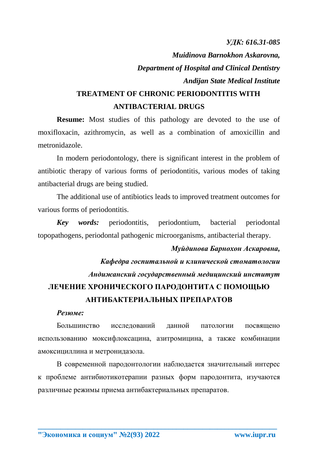*УДК: 616.31-085*

*Muidinova Barnokhon Askarovna, Department of Hospital and Clinical Dentistry Andijan State Medical Institute*

## **TREATMENT OF CHRONIC PERIODONTITIS WITH ANTIBACTERIAL DRUGS**

**Resume:** Most studies of this pathology are devoted to the use of moxifloxacin, azithromycin, as well as a combination of amoxicillin and metronidazole.

In modern periodontology, there is significant interest in the problem of antibiotic therapy of various forms of periodontitis, various modes of taking antibacterial drugs are being studied.

The additional use of antibiotics leads to improved treatment outcomes for various forms of periodontitis.

*Key words:* periodontitis, periodontium, bacterial periodontal topopathogens, periodontal pathogenic microorganisms, antibacterial therapy.

## *Муйдинова Барнохон Аскаровна,*

*Кафедра госпитальной и клинической стоматологии Андижанский государственный медицинский институт* **ЛЕЧЕНИЕ ХРОНИЧЕСКОГО ПАРОДОНТИТА С ПОМОЩЬЮ АНТИБАКТЕРИАЛЬНЫХ ПРЕПАРАТОВ**

## *Резюме:*

Большинство исследований данной патологии посвящено использованию моксифлоксацина, азитромицина, а также комбинации амоксициллина и метронидазола.

В современной пародонтологии наблюдается значительный интерес к проблеме антибиотикотерапии разных форм пародонтита, изучаются различные режимы приема антибактериальных препаратов.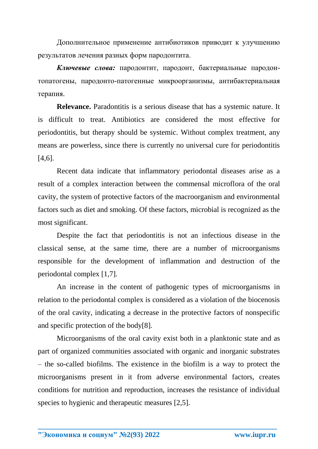Дополнительное применение антибиотиков приводит к улучшению результатов лечения разных форм пародонтита.

*Ключевые слова:* пародонтит, пародонт, бактериальные пародонтопатогены, пародонто-патогенные микроорганизмы, антибактериальная терапия.

**Relevance.** Paradontitis is a serious disease that has a systemic nature. It is difficult to treat. Antibiotics are considered the most effective for periodontitis, but therapy should be systemic. Without complex treatment, any means are powerless, since there is currently no universal cure for periodontitis [4,6].

Recent data indicate that inflammatory periodontal diseases arise as a result of a complex interaction between the commensal microflora of the oral cavity, the system of protective factors of the macroorganism and environmental factors such as diet and smoking. Of these factors, microbial is recognized as the most significant.

Despite the fact that periodontitis is not an infectious disease in the classical sense, at the same time, there are a number of microorganisms responsible for the development of inflammation and destruction of the periodontal complex [1,7].

An increase in the content of pathogenic types of microorganisms in relation to the periodontal complex is considered as a violation of the biocenosis of the oral cavity, indicating a decrease in the protective factors of nonspecific and specific protection of the body[8].

Microorganisms of the oral cavity exist both in a planktonic state and as part of organized communities associated with organic and inorganic substrates – the so-called biofilms. The existence in the biofilm is a way to protect the microorganisms present in it from adverse environmental factors, creates conditions for nutrition and reproduction, increases the resistance of individual species to hygienic and therapeutic measures [2,5].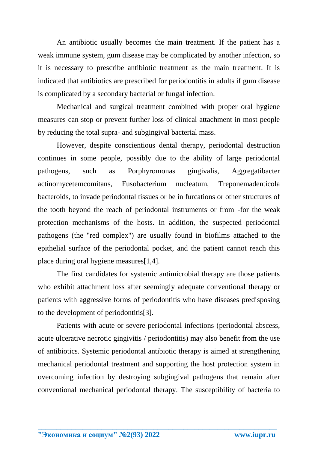An antibiotic usually becomes the main treatment. If the patient has a weak immune system, gum disease may be complicated by another infection, so it is necessary to prescribe antibiotic treatment as the main treatment. It is indicated that antibiotics are prescribed for periodontitis in adults if gum disease is complicated by a secondary bacterial or fungal infection.

Mechanical and surgical treatment combined with proper oral hygiene measures can stop or prevent further loss of clinical attachment in most people by reducing the total supra- and subgingival bacterial mass.

However, despite conscientious dental therapy, periodontal destruction continues in some people, possibly due to the ability of large periodontal pathogens, such as Porphyromonas gingivalis, Aggregatibacter actinomycetemcomitans, Fusobacterium nucleatum, Treponemadenticola bacteroids, to invade periodontal tissues or be in furcations or other structures of the tooth beyond the reach of periodontal instruments or from -for the weak protection mechanisms of the hosts. In addition, the suspected periodontal pathogens (the "red complex") are usually found in biofilms attached to the epithelial surface of the periodontal pocket, and the patient cannot reach this place during oral hygiene measures[1,4].

The first candidates for systemic antimicrobial therapy are those patients who exhibit attachment loss after seemingly adequate conventional therapy or patients with aggressive forms of periodontitis who have diseases predisposing to the development of periodontitis[3].

Patients with acute or severe periodontal infections (periodontal abscess, acute ulcerative necrotic gingivitis / periodontitis) may also benefit from the use of antibiotics. Systemic periodontal antibiotic therapy is aimed at strengthening mechanical periodontal treatment and supporting the host protection system in overcoming infection by destroying subgingival pathogens that remain after conventional mechanical periodontal therapy. The susceptibility of bacteria to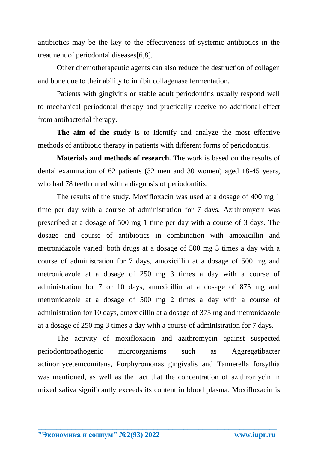antibiotics may be the key to the effectiveness of systemic antibiotics in the treatment of periodontal diseases[6,8].

Other chemotherapeutic agents can also reduce the destruction of collagen and bone due to their ability to inhibit collagenase fermentation.

Patients with gingivitis or stable adult periodontitis usually respond well to mechanical periodontal therapy and practically receive no additional effect from antibacterial therapy.

**The aim of the study** is to identify and analyze the most effective methods of antibiotic therapy in patients with different forms of periodontitis.

**Materials and methods of research.** The work is based on the results of dental examination of 62 patients (32 men and 30 women) aged 18-45 years, who had 78 teeth cured with a diagnosis of periodontitis.

The results of the study. Moxifloxacin was used at a dosage of 400 mg 1 time per day with a course of administration for 7 days. Azithromycin was prescribed at a dosage of 500 mg 1 time per day with a course of 3 days. The dosage and course of antibiotics in combination with amoxicillin and metronidazole varied: both drugs at a dosage of 500 mg 3 times a day with a course of administration for 7 days, amoxicillin at a dosage of 500 mg and metronidazole at a dosage of 250 mg 3 times a day with a course of administration for 7 or 10 days, amoxicillin at a dosage of 875 mg and metronidazole at a dosage of 500 mg 2 times a day with a course of administration for 10 days, amoxicillin at a dosage of 375 mg and metronidazole at a dosage of 250 mg 3 times a day with a course of administration for 7 days.

The activity of moxifloxacin and azithromycin against suspected periodontopathogenic microorganisms such as Aggregatibacter actinomycetemcomitans, Porphyromonas gingivalis and Tannerella forsythia was mentioned, as well as the fact that the concentration of azithromycin in mixed saliva significantly exceeds its content in blood plasma. Moxifloxacin is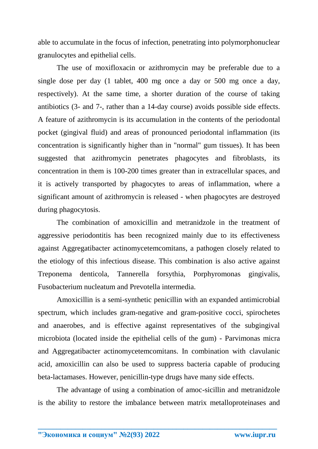able to accumulate in the focus of infection, penetrating into polymorphonuclear granulocytes and epithelial cells.

The use of moxifloxacin or azithromycin may be preferable due to a single dose per day (1 tablet, 400 mg once a day or 500 mg once a day, respectively). At the same time, a shorter duration of the course of taking antibiotics (3- and 7-, rather than a 14-day course) avoids possible side effects. A feature of azithromycin is its accumulation in the contents of the periodontal pocket (gingival fluid) and areas of pronounced periodontal inflammation (its concentration is significantly higher than in "normal" gum tissues). It has been suggested that azithromycin penetrates phagocytes and fibroblasts, its concentration in them is 100-200 times greater than in extracellular spaces, and it is actively transported by phagocytes to areas of inflammation, where a significant amount of azithromycin is released - when phagocytes are destroyed during phagocytosis.

The combination of amoxicillin and metranidzole in the treatment of aggressive periodontitis has been recognized mainly due to its effectiveness against Aggregatibacter actinomycetemcomitans, a pathogen closely related to the etiology of this infectious disease. This combination is also active against Treponema denticola, Tannerella forsythia, Porphyromonas gingivalis, Fusobacterium nucleatum and Prevotella intermedia.

Amoxicillin is a semi-synthetic penicillin with an expanded antimicrobial spectrum, which includes gram-negative and gram-positive cocci, spirochetes and anaerobes, and is effective against representatives of the subgingival microbiota (located inside the epithelial cells of the gum) - Parvimonas micra and Aggregatibacter actinomycetemcomitans. In combination with clavulanic acid, amoxicillin can also be used to suppress bacteria capable of producing beta-lactamases. However, penicillin-type drugs have many side effects.

The advantage of using a combination of amoc-sicillin and metranidzole is the ability to restore the imbalance between matrix metalloproteinases and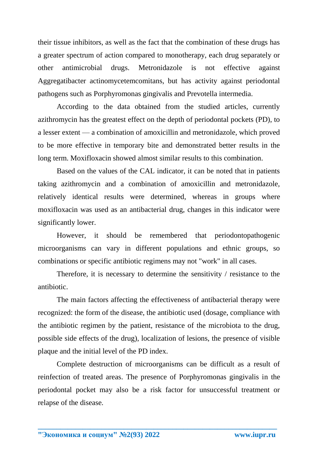their tissue inhibitors, as well as the fact that the combination of these drugs has a greater spectrum of action compared to monotherapy, each drug separately or other antimicrobial drugs. Metronidazole is not effective against Aggregatibacter actinomycetemcomitans, but has activity against periodontal pathogens such as Porphyromonas gingivalis and Prevotella intermedia.

According to the data obtained from the studied articles, currently azithromycin has the greatest effect on the depth of periodontal pockets (PD), to a lesser extent — a combination of amoxicillin and metronidazole, which proved to be more effective in temporary bite and demonstrated better results in the long term. Moxifloxacin showed almost similar results to this combination.

Based on the values of the CAL indicator, it can be noted that in patients taking azithromycin and a combination of amoxicillin and metronidazole, relatively identical results were determined, whereas in groups where moxifloxacin was used as an antibacterial drug, changes in this indicator were significantly lower.

However, it should be remembered that periodontopathogenic microorganisms can vary in different populations and ethnic groups, so combinations or specific antibiotic regimens may not "work" in all cases.

Therefore, it is necessary to determine the sensitivity / resistance to the antibiotic.

The main factors affecting the effectiveness of antibacterial therapy were recognized: the form of the disease, the antibiotic used (dosage, compliance with the antibiotic regimen by the patient, resistance of the microbiota to the drug, possible side effects of the drug), localization of lesions, the presence of visible plaque and the initial level of the PD index.

Complete destruction of microorganisms can be difficult as a result of reinfection of treated areas. The presence of Porphyromonas gingivalis in the periodontal pocket may also be a risk factor for unsuccessful treatment or relapse of the disease.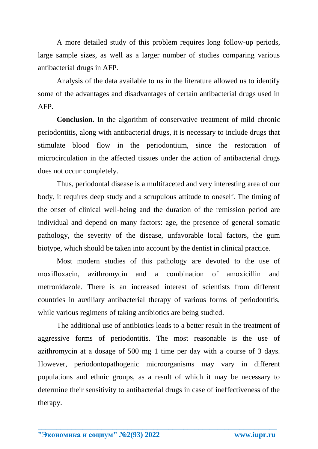A more detailed study of this problem requires long follow-up periods, large sample sizes, as well as a larger number of studies comparing various antibacterial drugs in AFP.

Analysis of the data available to us in the literature allowed us to identify some of the advantages and disadvantages of certain antibacterial drugs used in AFP.

**Conclusion.** In the algorithm of conservative treatment of mild chronic periodontitis, along with antibacterial drugs, it is necessary to include drugs that stimulate blood flow in the periodontium, since the restoration of microcirculation in the affected tissues under the action of antibacterial drugs does not occur completely.

Thus, periodontal disease is a multifaceted and very interesting area of our body, it requires deep study and a scrupulous attitude to oneself. The timing of the onset of clinical well-being and the duration of the remission period are individual and depend on many factors: age, the presence of general somatic pathology, the severity of the disease, unfavorable local factors, the gum biotype, which should be taken into account by the dentist in clinical practice.

Most modern studies of this pathology are devoted to the use of moxifloxacin, azithromycin and a combination of amoxicillin and metronidazole. There is an increased interest of scientists from different countries in auxiliary antibacterial therapy of various forms of periodontitis, while various regimens of taking antibiotics are being studied.

The additional use of antibiotics leads to a better result in the treatment of aggressive forms of periodontitis. The most reasonable is the use of azithromycin at a dosage of 500 mg 1 time per day with a course of 3 days. However, periodontopathogenic microorganisms may vary in different populations and ethnic groups, as a result of which it may be necessary to determine their sensitivity to antibacterial drugs in case of ineffectiveness of the therapy.